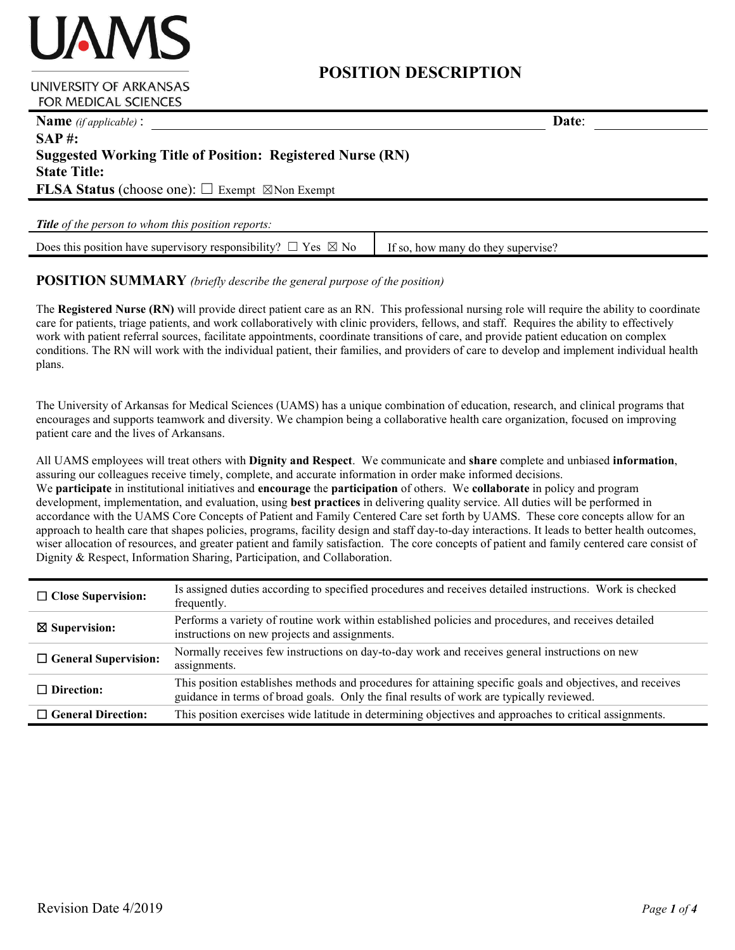# **POSITION DESCRIPTION**

#### **UNIVERSITY OF ARKANSAS FOR MEDICAL SCIENCES**

**JAMS** 

| <b>Name</b> ( <i>if applicable</i> ):                                 | Date: |
|-----------------------------------------------------------------------|-------|
| $SAP \#$ :                                                            |       |
| <b>Suggested Working Title of Position: Registered Nurse (RN)</b>     |       |
| <b>State Title:</b>                                                   |       |
| <b>FLSA Status</b> (choose one): $\Box$ Exempt $\boxtimes$ Non Exempt |       |
|                                                                       |       |
| <b>Title</b> of the person to whom this position reports:             |       |

Does this position have supervisory responsibility?  $\Box$  Yes  $\boxtimes$  No If so, how many do they supervise?

### **POSITION SUMMARY** *(briefly describe the general purpose of the position)*

The **Registered Nurse (RN)** will provide direct patient care as an RN. This professional nursing role will require the ability to coordinate care for patients, triage patients, and work collaboratively with clinic providers, fellows, and staff. Requires the ability to effectively work with patient referral sources, facilitate appointments, coordinate transitions of care, and provide patient education on complex conditions. The RN will work with the individual patient, their families, and providers of care to develop and implement individual health plans.

The University of Arkansas for Medical Sciences (UAMS) has a unique combination of education, research, and clinical programs that encourages and supports teamwork and diversity. We champion being a collaborative health care organization, focused on improving patient care and the lives of Arkansans.

All UAMS employees will treat others with **Dignity and Respect**. We communicate and **share** complete and unbiased **information**, assuring our colleagues receive timely, complete, and accurate information in order make informed decisions. We **participate** in institutional initiatives and **encourage** the **participation** of others. We **collaborate** in policy and program development, implementation, and evaluation, using **best practices** in delivering quality service. All duties will be performed in accordance with the UAMS Core Concepts of Patient and Family Centered Care set forth by UAMS. These core concepts allow for an approach to health care that shapes policies, programs, facility design and staff day-to-day interactions. It leads to better health outcomes, wiser allocation of resources, and greater patient and family satisfaction. The core concepts of patient and family centered care consist of Dignity & Respect, Information Sharing, Participation, and Collaboration.

| $\Box$ Close Supervision:   | Is assigned duties according to specified procedures and receives detailed instructions. Work is checked<br>frequently.                                                                                |
|-----------------------------|--------------------------------------------------------------------------------------------------------------------------------------------------------------------------------------------------------|
| $\boxtimes$ Supervision:    | Performs a variety of routine work within established policies and procedures, and receives detailed<br>instructions on new projects and assignments.                                                  |
| $\Box$ General Supervision: | Normally receives few instructions on day-to-day work and receives general instructions on new<br>assignments.                                                                                         |
| $\Box$ Direction:           | This position establishes methods and procedures for attaining specific goals and objectives, and receives<br>guidance in terms of broad goals. Only the final results of work are typically reviewed. |
| $\Box$ General Direction:   | This position exercises wide latitude in determining objectives and approaches to critical assignments.                                                                                                |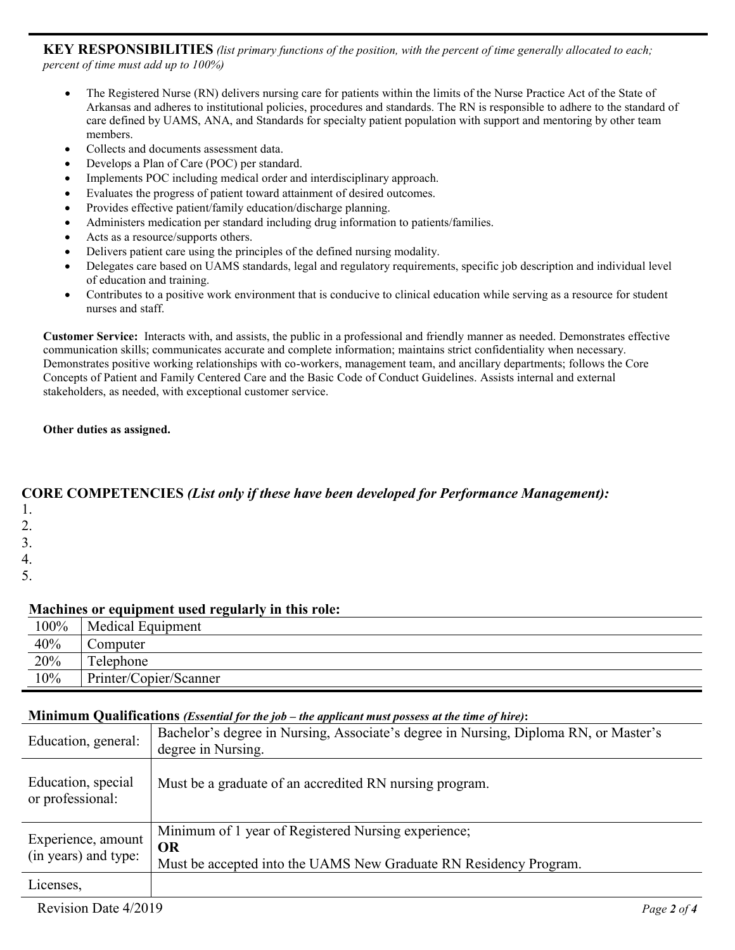**KEY RESPONSIBILITIES** *(list primary functions of the position, with the percent of time generally allocated to each; percent of time must add up to 100%)*

- The Registered Nurse (RN) delivers nursing care for patients within the limits of the Nurse Practice Act of the State of Arkansas and adheres to institutional policies, procedures and standards. The RN is responsible to adhere to the standard of care defined by UAMS, ANA, and Standards for specialty patient population with support and mentoring by other team members.
- Collects and documents assessment data.
- Develops a Plan of Care (POC) per standard.
- Implements POC including medical order and interdisciplinary approach.
- Evaluates the progress of patient toward attainment of desired outcomes.
- Provides effective patient/family education/discharge planning.
- Administers medication per standard including drug information to patients/families.
- Acts as a resource/supports others.
- Delivers patient care using the principles of the defined nursing modality.
- Delegates care based on UAMS standards, legal and regulatory requirements, specific job description and individual level of education and training.
- Contributes to a positive work environment that is conducive to clinical education while serving as a resource for student nurses and staff.

**Customer Service:** Interacts with, and assists, the public in a professional and friendly manner as needed. Demonstrates effective communication skills; communicates accurate and complete information; maintains strict confidentiality when necessary. Demonstrates positive working relationships with co-workers, management team, and ancillary departments; follows the Core Concepts of Patient and Family Centered Care and the Basic Code of Conduct Guidelines. Assists internal and external stakeholders, as needed, with exceptional customer service.

**Other duties as assigned.**

### **CORE COMPETENCIES** *(List only if these have been developed for Performance Management):*

- 1.
- 2.
- 3.
- 4.

5.

### **Machines or equipment used regularly in this role:**

|      | . .                    |
|------|------------------------|
| 100% | Medical Equipment      |
| 40%  | Computer               |
| 20%  | Telephone              |
| 10%  | Printer/Copier/Scanner |
|      |                        |

#### **Minimum Qualifications** *(Essential for the job – the applicant must possess at the time of hire)***:**

| Education, general:                        | Bachelor's degree in Nursing, Associate's degree in Nursing, Diploma RN, or Master's<br>degree in Nursing.                     |
|--------------------------------------------|--------------------------------------------------------------------------------------------------------------------------------|
| Education, special<br>or professional:     | Must be a graduate of an accredited RN nursing program.                                                                        |
| Experience, amount<br>(in years) and type: | Minimum of 1 year of Registered Nursing experience;<br>OR<br>Must be accepted into the UAMS New Graduate RN Residency Program. |
| Licenses,                                  |                                                                                                                                |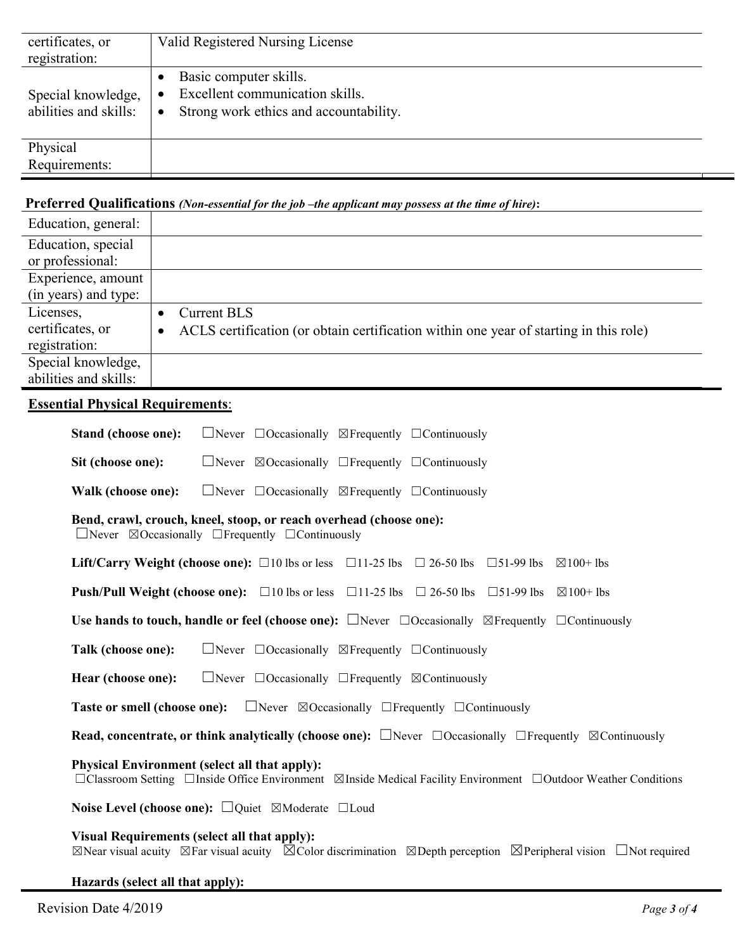| certificates, or<br>registration:           | Valid Registered Nursing License                                                                                 |
|---------------------------------------------|------------------------------------------------------------------------------------------------------------------|
| Special knowledge,<br>abilities and skills: | Basic computer skills.<br>Excellent communication skills.<br>Strong work ethics and accountability.<br>$\bullet$ |
| Physical                                    |                                                                                                                  |
| Requirements:                               |                                                                                                                  |

### **Preferred Qualifications** *(Non-essential for the job –the applicant may possess at the time of hire)***:**

| Education, general:   |                                                                                       |
|-----------------------|---------------------------------------------------------------------------------------|
| Education, special    |                                                                                       |
| or professional:      |                                                                                       |
| Experience, amount    |                                                                                       |
| (in years) and type:  |                                                                                       |
| Licenses,             | <b>Current BLS</b>                                                                    |
| certificates, or      | ACLS certification (or obtain certification within one year of starting in this role) |
| registration:         |                                                                                       |
| Special knowledge,    |                                                                                       |
| abilities and skills: |                                                                                       |

## **Essential Physical Requirements**:

| Stand (choose one):<br>$\Box$ Never $\Box$ Occasionally $\boxtimes$ Frequently $\Box$ Continuously                                                                                             |  |  |  |
|------------------------------------------------------------------------------------------------------------------------------------------------------------------------------------------------|--|--|--|
| Sit (choose one):<br>$\Box$ Never $\Box$ Occasionally $\Box$ Frequently $\Box$ Continuously                                                                                                    |  |  |  |
| $\Box$ Never $\Box$ Occasionally $\boxtimes$ Frequently $\Box$ Continuously<br>Walk (choose one):                                                                                              |  |  |  |
| Bend, crawl, crouch, kneel, stoop, or reach overhead (choose one):<br>$\Box$ Never $\Box$ Occasionally $\Box$ Frequently $\Box$ Continuously                                                   |  |  |  |
| <b>Lift/Carry Weight (choose one):</b> $\Box 10$ lbs or less $\Box 11-25$ lbs $\Box 26-50$ lbs $\Box 51-99$ lbs $\boxtimes 100+$ lbs                                                           |  |  |  |
| <b>Push/Pull Weight (choose one):</b> $\Box$ 10 lbs or less $\Box$ 11-25 lbs $\Box$ 26-50 lbs $\Box$ 51-99 lbs $\boxtimes$ 100+ lbs                                                            |  |  |  |
| Use hands to touch, handle or feel (choose one): $\Box$ Never $\Box$ Occasionally $\Box$ Frequently $\Box$ Continuously                                                                        |  |  |  |
| Talk (choose one):<br>$\Box$ Never $\Box$ Occasionally $\boxtimes$ Frequently $\Box$ Continuously                                                                                              |  |  |  |
| Hear (choose one):<br>$\Box$ Never $\Box$ Occasionally $\Box$ Frequently $\boxtimes$ Continuously                                                                                              |  |  |  |
| <b>Taste or smell (choose one):</b> $\Box$ Never $\Box$ Occasionally $\Box$ Frequently $\Box$ Continuously                                                                                     |  |  |  |
| <b>Read, concentrate, or think analytically (choose one):</b> $\Box$ Never $\Box$ Occasionally $\Box$ Frequently $\boxtimes$ Continuously                                                      |  |  |  |
| <b>Physical Environment (select all that apply):</b><br>$\Box$ Classroom Setting $\Box$ Inside Office Environment $\Box$ Inside Medical Facility Environment $\Box$ Outdoor Weather Conditions |  |  |  |
| <b>Noise Level (choose one):</b> $\Box$ Quiet $\Box$ Moderate $\Box$ Loud                                                                                                                      |  |  |  |
| Visual Requirements (select all that apply):                                                                                                                                                   |  |  |  |

☒Near visual acuity ☒Far visual acuity ☒Color discrimination ☒Depth perception ☒Peripheral vision ☐Not required

**Hazards (select all that apply):**